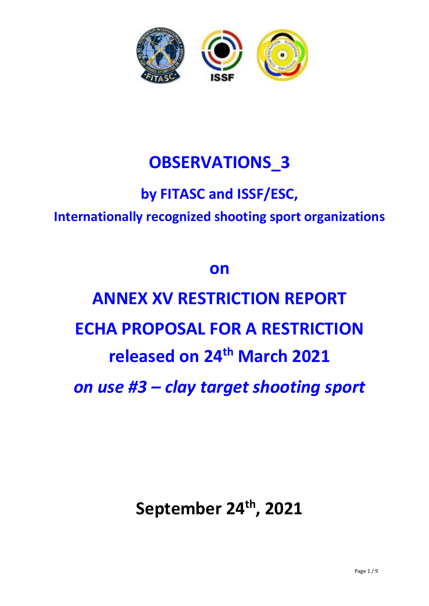

## **OBSERVATIONS\_3**

## **by FITASC and ISSF/ESC, Internationally recognized shooting sport organizations**

### **on**

# **ANNEX XV RESTRICTION REPORT ECHA PROPOSAL FOR A RESTRICTION released on 24th March 2021** *on use #3 – clay target shooting sport*

**September 24 th, 2021**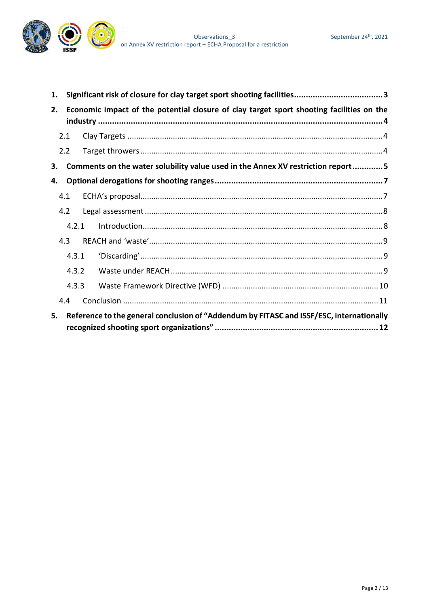

| 1. |                                                                                          |  |                                                                                 |  |  |  |
|----|------------------------------------------------------------------------------------------|--|---------------------------------------------------------------------------------|--|--|--|
| 2. | Economic impact of the potential closure of clay target sport shooting facilities on the |  |                                                                                 |  |  |  |
|    | 2.1                                                                                      |  |                                                                                 |  |  |  |
|    | 2.2                                                                                      |  |                                                                                 |  |  |  |
| 3. |                                                                                          |  | Comments on the water solubility value used in the Annex XV restriction report5 |  |  |  |
| 4. |                                                                                          |  |                                                                                 |  |  |  |
|    | 4.1                                                                                      |  |                                                                                 |  |  |  |
|    | 4.2                                                                                      |  |                                                                                 |  |  |  |
|    | 4.2.1                                                                                    |  |                                                                                 |  |  |  |
|    | 4.3                                                                                      |  |                                                                                 |  |  |  |
|    | 4.3.1                                                                                    |  |                                                                                 |  |  |  |
|    | 4.3.2                                                                                    |  |                                                                                 |  |  |  |
|    | 4.3.3                                                                                    |  |                                                                                 |  |  |  |
|    | 4.4                                                                                      |  |                                                                                 |  |  |  |
| 5. | Reference to the general conclusion of "Addendum by FITASC and ISSF/ESC, internationally |  |                                                                                 |  |  |  |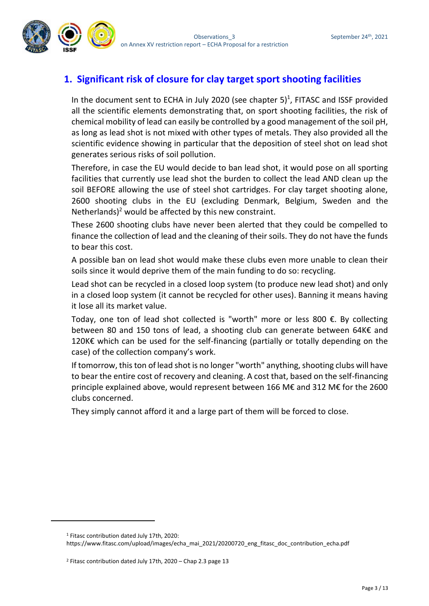

#### <span id="page-2-0"></span>**1. Significant risk of closure for clay target sport shooting facilities**

In the document sent to ECHA in July 2020 (see chapter  $5)^1$ , FITASC and ISSF provided all the scientific elements demonstrating that, on sport shooting facilities, the risk of chemical mobility of lead can easily be controlled by a good management of the soil pH, as long as lead shot is not mixed with other types of metals. They also provided all the scientific evidence showing in particular that the deposition of steel shot on lead shot generates serious risks of soil pollution.

Therefore, in case the EU would decide to ban lead shot, it would pose on all sporting facilities that currently use lead shot the burden to collect the lead AND clean up the soil BEFORE allowing the use of steel shot cartridges. For clay target shooting alone, 2600 shooting clubs in the EU (excluding Denmark, Belgium, Sweden and the Netherlands)<sup>2</sup> would be affected by this new constraint.

These 2600 shooting clubs have never been alerted that they could be compelled to finance the collection of lead and the cleaning of their soils. They do not have the funds to bear this cost.

A possible ban on lead shot would make these clubs even more unable to clean their soils since it would deprive them of the main funding to do so: recycling.

Lead shot can be recycled in a closed loop system (to produce new lead shot) and only in a closed loop system (it cannot be recycled for other uses). Banning it means having it lose all its market value.

Today, one ton of lead shot collected is "worth" more or less 800 €. By collecting between 80 and 150 tons of lead, a shooting club can generate between 64K€ and 120K€ which can be used for the self-financing (partially or totally depending on the case) of the collection company's work.

If tomorrow, this ton of lead shot is no longer "worth" anything, shooting clubs will have to bear the entire cost of recovery and cleaning. A cost that, based on the self-financing principle explained above, would represent between 166 M€ and 312 M€ for the 2600 clubs concerned.

They simply cannot afford it and a large part of them will be forced to close.

<sup>1</sup> Fitasc contribution dated July 17th, 2020:

https://www.fitasc.com/upload/images/echa\_mai\_2021/20200720\_eng\_fitasc\_doc\_contribution\_echa.pdf

<sup>&</sup>lt;sup>2</sup> Fitasc contribution dated July 17th, 2020 – Chap 2.3 page 13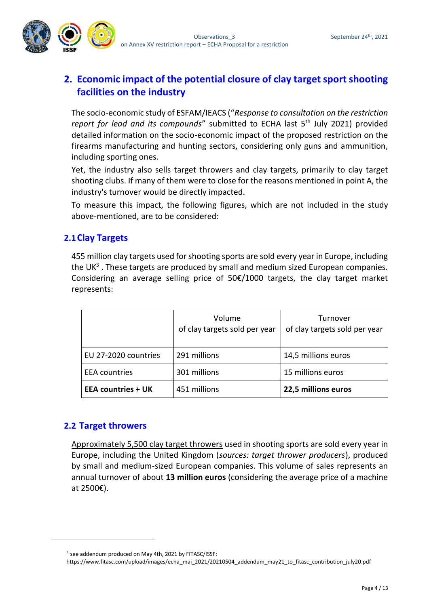

#### <span id="page-3-0"></span>**2. Economic impact of the potential closure of clay target sport shooting facilities on the industry**

The socio-economic study of ESFAM/IEACS ("*Response to consultation on the restriction report for lead and its compounds*" submitted to ECHA last 5<sup>th</sup> July 2021) provided detailed information on the socio-economic impact of the proposed restriction on the firearms manufacturing and hunting sectors, considering only guns and ammunition, including sporting ones.

Yet, the industry also sells target throwers and clay targets, primarily to clay target shooting clubs. If many of them were to close for the reasons mentioned in point A, the industry's turnover would be directly impacted.

To measure this impact, the following figures, which are not included in the study above-mentioned, are to be considered:

#### <span id="page-3-1"></span>**2.1Clay Targets**

455 million clay targets used for shooting sports are sold every year in Europe, including the  $UK<sup>3</sup>$ . These targets are produced by small and medium sized European companies. Considering an average selling price of  $50\epsilon/1000$  targets, the clay target market represents:

|                           | Volume<br>of clay targets sold per year | Turnover<br>of clay targets sold per year |
|---------------------------|-----------------------------------------|-------------------------------------------|
| EU 27-2020 countries      | 291 millions                            | 14,5 millions euros                       |
| <b>EEA</b> countries      | 301 millions                            | 15 millions euros                         |
| <b>EEA countries + UK</b> | 451 millions                            | 22,5 millions euros                       |

#### <span id="page-3-2"></span>**2.2 Target throwers**

Approximately 5,500 clay target throwers used in shooting sports are sold every year in Europe, including the United Kingdom (*sources: target thrower producers*), produced by small and medium-sized European companies. This volume of sales represents an annual turnover of about **13 million euros** (considering the average price of a machine at 2500€).

<sup>3</sup> see addendum produced on May 4th, 2021 by FITASC/ISSF:

https://www.fitasc.com/upload/images/echa\_mai\_2021/20210504\_addendum\_may21\_to\_fitasc\_contribution\_july20.pdf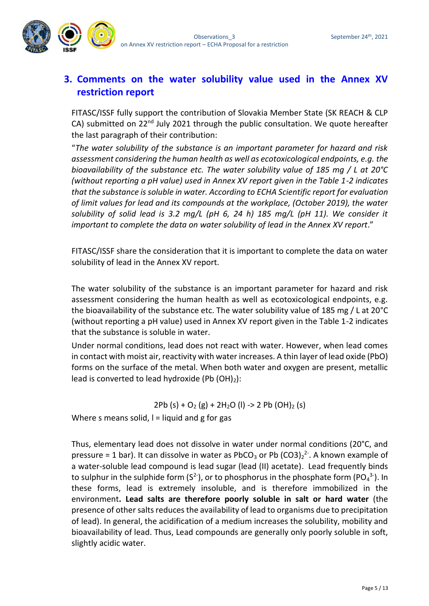

#### <span id="page-4-0"></span>**3. Comments on the water solubility value used in the Annex XV restriction report**

FITASC/ISSF fully support the contribution of Slovakia Member State (SK REACH & CLP CA) submitted on  $22^{nd}$  July 2021 through the public consultation. We quote hereafter the last paragraph of their contribution:

"*The water solubility of the substance is an important parameter for hazard and risk assessment considering the human health as well as ecotoxicological endpoints, e.g. the bioavailability of the substance etc. The water solubility value of 185 mg / L at 20°C (without reporting a pH value) used in Annex XV report given in the Table 1-2 indicates that the substance is soluble in water. According to ECHA Scientific report for evaluation of limit values for lead and its compounds at the workplace, (October 2019), the water solubility of solid lead is 3.2 mg/L (pH 6, 24 h) 185 mg/L (pH 11). We consider it important to complete the data on water solubility of lead in the Annex XV report*."

FITASC/ISSF share the consideration that it is important to complete the data on water solubility of lead in the Annex XV report.

The water solubility of the substance is an important parameter for hazard and risk assessment considering the human health as well as ecotoxicological endpoints, e.g. the bioavailability of the substance etc. The water solubility value of 185 mg / L at 20°C (without reporting a pH value) used in Annex XV report given in the Table 1-2 indicates that the substance is soluble in water.

Under normal conditions, lead does not react with water. However, when lead comes in contact with moist air, reactivity with water increases. A thin layer of lead oxide (PbO) forms on the surface of the metal. When both water and oxygen are present, metallic lead is converted to lead hydroxide (Pb  $(OH)_2$ ):

2Pb (s) +  $O_2$  (g) + 2H<sub>2</sub>O (l) -> 2 Pb (OH)<sub>2</sub> (s)

Where s means solid,  $I =$  liquid and g for gas

Thus, elementary lead does not dissolve in water under normal conditions (20°C, and pressure = 1 bar). It can dissolve in water as PbCO<sub>3</sub> or Pb  $(CO3)_2^2$ . A known example of a water-soluble lead compound is lead sugar (lead (II) acetate). Lead frequently binds to sulphur in the sulphide form (S<sup>2-</sup>), or to phosphorus in the phosphate form (PO<sub>4</sub><sup>3-</sup>). In these forms, lead is extremely insoluble, and is therefore immobilized in the environment**. Lead salts are therefore poorly soluble in salt or hard water** (the presence of other salts reduces the availability of lead to organisms due to precipitation of lead). In general, the acidification of a medium increases the solubility, mobility and bioavailability of lead. Thus, Lead compounds are generally only poorly soluble in soft, slightly acidic water.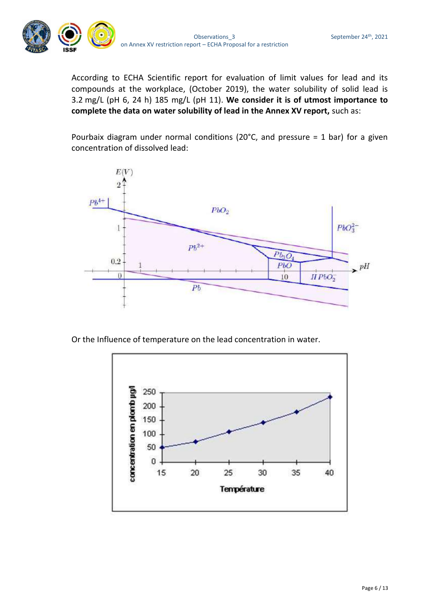

According to ECHA Scientific report for evaluation of limit values for lead and its compounds at the workplace, (October 2019), the water solubility of solid lead is 3.2 mg/L (pH 6, 24 h) 185 mg/L (pH 11). **We consider it is of utmost importance to complete the data on water solubility of lead in the Annex XV report,** such as:

Pourbaix diagram under normal conditions (20°C, and pressure = 1 bar) for a given concentration of dissolved lead:



Or the Influence of temperature on the lead concentration in water.

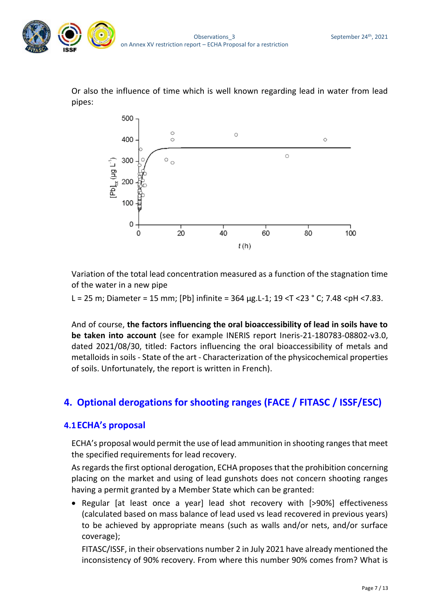

Or also the influence of time which is well known regarding lead in water from lead pipes:



Variation of the total lead concentration measured as a function of the stagnation time of the water in a new pipe

L = 25 m; Diameter = 15 mm; [Pb] infinite =  $364 \,\mu g$ .L-1; 19 <T < 23 ° C; 7.48 < pH < 7.83.

And of course, **the factors influencing the oral bioaccessibility of lead in soils have to be taken into account** (see for example INERIS report Ineris-21-180783-08802-v3.0, dated 2021/08/30, titled: Factors influencing the oral bioaccessibility of metals and metalloids in soils - State of the art - Characterization of the physicochemical properties of soils. Unfortunately, the report is written in French).

#### <span id="page-6-0"></span>**4. Optional derogations for shooting ranges (FACE / FITASC / ISSF/ESC)**

#### <span id="page-6-1"></span>**4.1ECHA's proposal**

ECHA's proposal would permit the use of lead ammunition in shooting ranges that meet the specified requirements for lead recovery.

As regards the first optional derogation, ECHA proposes that the prohibition concerning placing on the market and using of lead gunshots does not concern shooting ranges having a permit granted by a Member State which can be granted:

• Regular [at least once a year] lead shot recovery with [>90%] effectiveness (calculated based on mass balance of lead used vs lead recovered in previous years) to be achieved by appropriate means (such as walls and/or nets, and/or surface coverage);

FITASC/ISSF, in their observations number 2 in July 2021 have already mentioned the inconsistency of 90% recovery. From where this number 90% comes from? What is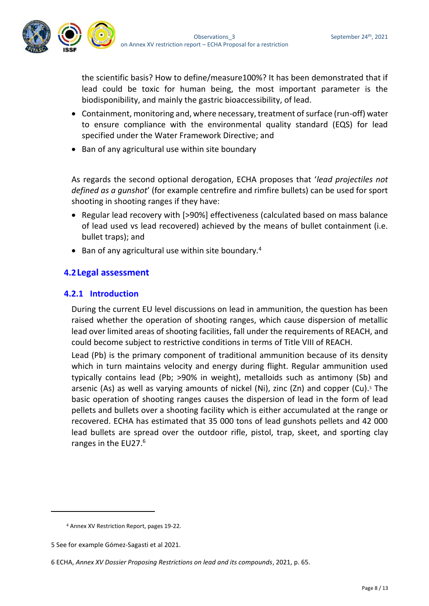

the scientific basis? How to define/measure100%? It has been demonstrated that if lead could be toxic for human being, the most important parameter is the biodisponibility, and mainly the gastric bioaccessibility, of lead.

- Containment, monitoring and, where necessary, treatment of surface (run-off) water to ensure compliance with the environmental quality standard (EQS) for lead specified under the Water Framework Directive; and
- Ban of any agricultural use within site boundary

As regards the second optional derogation, ECHA proposes that '*lead projectiles not defined as a gunshot*' (for example centrefire and rimfire bullets) can be used for sport shooting in shooting ranges if they have:

- Regular lead recovery with [>90%] effectiveness (calculated based on mass balance of lead used vs lead recovered) achieved by the means of bullet containment (i.e. bullet traps); and
- Ban of any agricultural use within site boundary.<sup>4</sup>

#### <span id="page-7-0"></span>**4.2Legal assessment**

#### <span id="page-7-1"></span>**4.2.1 Introduction**

During the current EU level discussions on lead in ammunition, the question has been raised whether the operation of shooting ranges, which cause dispersion of metallic lead over limited areas of shooting facilities, fall under the requirements of REACH, and could become subject to restrictive conditions in terms of Title VIII of REACH.

Lead (Pb) is the primary component of traditional ammunition because of its density which in turn maintains velocity and energy during flight. Regular ammunition used typically contains lead (Pb; >90% in weight), metalloids such as antimony (Sb) and arsenic (As) as well as varying amounts of nickel (Ni), zinc (Zn) and copper (Cu).<sup>5</sup> The basic operation of shooting ranges causes the dispersion of lead in the form of lead pellets and bullets over a shooting facility which is either accumulated at the range or recovered. ECHA has estimated that 35 000 tons of lead gunshots pellets and 42 000 lead bullets are spread over the outdoor rifle, pistol, trap, skeet, and sporting clay ranges in the EU27.<sup>6</sup>

<sup>4</sup> Annex XV Restriction Report, pages 19-22.

<sup>5</sup> See for example Gómez-Sagasti et al 2021.

<sup>6</sup> ECHA, *Annex XV Dossier Proposing Restrictions on lead and its compounds*, 2021, p. 65.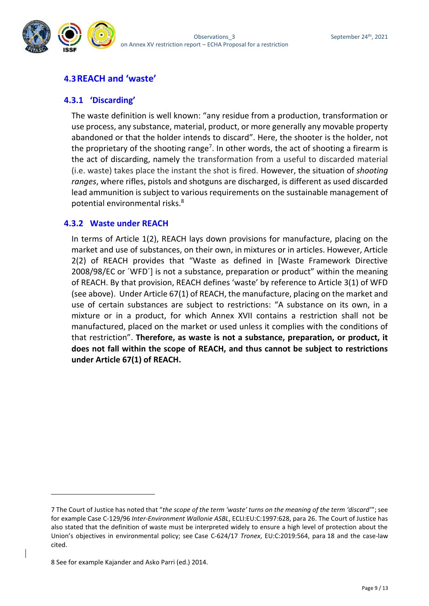

#### <span id="page-8-0"></span>**4.3REACH and 'waste'**

#### <span id="page-8-1"></span>**4.3.1 'Discarding'**

The waste definition is well known: "any residue from a production, transformation or use process, any substance, material, product, or more generally any movable property abandoned or that the holder intends to discard". Here, the shooter is the holder, not the proprietary of the shooting range<sup>7</sup>. In other words, the act of shooting a firearm is the act of discarding, namely the transformation from a useful to discarded material (i.e. waste) takes place the instant the shot is fired. However, the situation of *shooting ranges*, where rifles, pistols and shotguns are discharged, is different as used discarded lead ammunition is subject to various requirements on the sustainable management of potential environmental risks.<sup>8</sup>

#### <span id="page-8-2"></span>**4.3.2 Waste under REACH**

In terms of Article 1(2), REACH lays down provisions for manufacture, placing on the market and use of substances, on their own, in mixtures or in articles. However, Article 2(2) of REACH provides that "Waste as defined in [Waste Framework Directive 2008/98/EC or ´WFD´] is not a substance, preparation or product" within the meaning of REACH. By that provision, REACH defines 'waste' by reference to Article 3(1) of WFD (see above). Under Article 67(1) of REACH, the manufacture, placing on the market and use of certain substances are subject to restrictions: "A substance on its own, in a mixture or in a product, for which Annex XVII contains a restriction shall not be manufactured, placed on the market or used unless it complies with the conditions of that restriction". **Therefore, as waste is not a substance, preparation, or product, it does not fall within the scope of REACH, and thus cannot be subject to restrictions under Article 67(1) of REACH.**

<sup>7</sup> The Court of Justice has noted that "*the scope of the term 'waste' turns on the meaning of the term 'discard'*"; see for example Case C-129/96 *Inter-Environment Wallonie ASBL*, ECLI:EU:C:1997:628, para 26. The Court of Justice has also stated that the definition of waste must be interpreted widely to ensure a high level of protection about the Union's objectives in environmental policy; see Case C-624/17 *Tronex*, EU:C:2019:564, para 18 and the case-law cited.

<sup>8</sup> See for example Kajander and Asko Parri (ed.) 2014.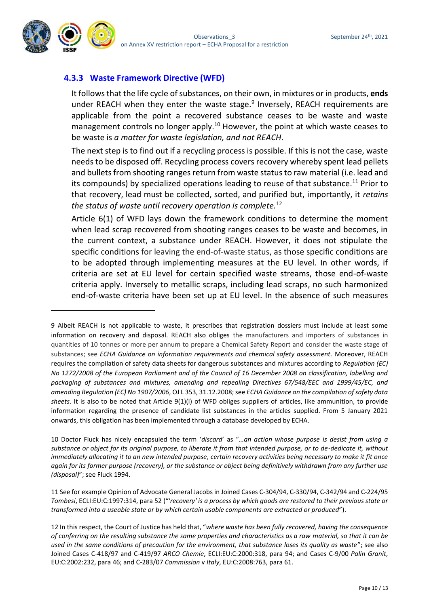

#### <span id="page-9-0"></span>**4.3.3 Waste Framework Directive (WFD)**

It follows that the life cycle of substances, on their own, in mixtures or in products, **ends** under REACH when they enter the waste stage.<sup>9</sup> Inversely, REACH requirements are applicable from the point a recovered substance ceases to be waste and waste management controls no longer apply.<sup>10</sup> However, the point at which waste ceases to be waste is *a matter for waste legislation, and not REACH*.

The next step is to find out if a recycling process is possible. If this is not the case, waste needs to be disposed off. Recycling process covers recovery whereby spent lead pellets and bullets from shooting ranges return from waste status to raw material (i.e. lead and its compounds) by specialized operations leading to reuse of that substance.<sup>11</sup> Prior to that recovery, lead must be collected, sorted, and purified but, importantly, it *retains the status of waste until recovery operation is complete.*<sup>12</sup>

Article 6(1) of WFD lays down the framework conditions to determine the moment when lead scrap recovered from shooting ranges ceases to be waste and becomes, in the current context, a substance under REACH. However, it does not stipulate the specific conditions for leaving the end-of-waste status, as those specific conditions are to be adopted through implementing measures at the EU level. In other words, if criteria are set at EU level for certain specified waste streams, those end-of-waste criteria apply. Inversely to metallic scraps, including lead scraps, no such harmonized end-of-waste criteria have been set up at EU level. In the absence of such measures

10 Doctor Fluck has nicely encapsuled the term '*discard*' as "*…an action whose purpose is desist from using a substance or object for its original purpose, to liberate it from that intended purpose, or to de-dedicate it, without immediately allocating it to an new intended purpose, certain recovery activities being necessary to make it fit once again for its former purpose (recovery), or the substance or object being definitively withdrawn from any further use (disposal)*"; see Fluck 1994.

11 See for example Opinion of Advocate General Jacobs in Joined Cases C-304/94, C-330/94, C-342/94 and C-224/95 *Tombesi*, ECLI:EU:C:1997:314, para 52 ("*'recovery' is a process by which goods are restored to their previous state or transformed into a useable state or by which certain usable components are extracted or produced*").

<sup>9</sup> Albeit REACH is not applicable to waste, it prescribes that registration dossiers must include at least some information on recovery and disposal. REACH also obliges the manufacturers and importers of substances in quantities of 10 tonnes or more per annum to prepare a Chemical Safety Report and consider the waste stage of substances; see *ECHA Guidance on information requirements and chemical safety assessment*. Moreover, REACH requires the compilation of safety data sheets for dangerous substances and mixtures according to *Regulation (EC) No 1272/2008 of the European Parliament and of the Council of 16 December 2008 on classification, labelling and packaging of substances and mixtures, amending and repealing Directives 67/548/EEC and 1999/45/EC, and amending Regulation (EC) No 1907/2006*, OJ L 353, 31.12.2008; see *ECHA Guidance on the compilation of safety data sheets*. It is also to be noted that Article 9(1)(i) of WFD obliges suppliers of articles, like ammunition, to provide information regarding the presence of candidate list substances in the articles supplied. From 5 January 2021 onwards, this obligation has been implemented through a database developed by ECHA.

<sup>12</sup> In this respect, the Court of Justice has held that, "*where waste has been fully recovered, having the consequence of conferring on the resulting substance the same properties and characteristics as a raw material, so that it can be used in the same conditions of precaution for the environment, that substance loses its quality as waste*"; see also Joined Cases C-418/97 and C-419/97 *ARCO Chemie*, ECLI:EU:C:2000:318, para 94; and Cases C-9/00 *Palin Granit*, EU:C:2002:232, para 46; and C-283/07 *Commission* v *Italy*, EU:C:2008:763, para 61.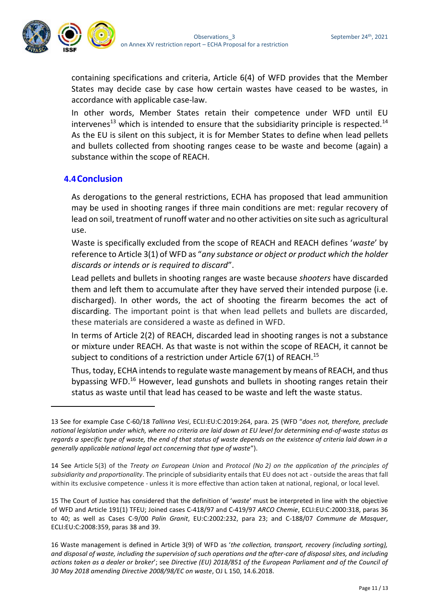

containing specifications and criteria, Article 6(4) of WFD provides that the Member States may decide case by case how certain wastes have ceased to be wastes, in accordance with applicable case-law.

In other words, Member States retain their competence under WFD until EU intervenes<sup>13</sup> which is intended to ensure that the subsidiarity principle is respected.<sup>14</sup> As the EU is silent on this subject, it is for Member States to define when lead pellets and bullets collected from shooting ranges cease to be waste and become (again) a substance within the scope of REACH.

#### <span id="page-10-0"></span>**4.4Conclusion**

As derogations to the general restrictions, ECHA has proposed that lead ammunition may be used in shooting ranges if three main conditions are met: regular recovery of lead on soil, treatment of runoff water and no other activities on site such as agricultural use.

Waste is specifically excluded from the scope of REACH and REACH defines '*waste*' by reference to Article 3(1) of WFD as "*any substance or object or product which the holder discards or intends or is required to discard*".

Lead pellets and bullets in shooting ranges are waste because *shooters* have discarded them and left them to accumulate after they have served their intended purpose (i.e. discharged). In other words, the act of shooting the firearm becomes the act of discarding. The important point is that when lead pellets and bullets are discarded, these materials are considered a waste as defined in WFD.

In terms of Article 2(2) of REACH, discarded lead in shooting ranges is not a substance or mixture under REACH. As that waste is not within the scope of REACH, it cannot be subject to conditions of a restriction under Article 67(1) of REACH.<sup>15</sup>

Thus, today, ECHA intends to regulate waste management by means of REACH, and thus bypassing WFD.<sup>16</sup> However, lead gunshots and bullets in shooting ranges retain their status as waste until that lead has ceased to be waste and left the waste status.

<sup>13</sup> See for example Case C-60/18 *Tallinna Vesi*, ECLI:EU:C:2019:264, para. 25 (WFD "*does not, therefore, preclude national legislation under which, where no criteria are laid down at EU level for determining end-of-waste status as regards a specific type of waste, the end of that status of waste depends on the existence of criteria laid down in a generally applicable national legal act concerning that type of waste*").

<sup>14</sup> See Article 5(3) of the *Treaty on European Union* and *Protocol (No 2) on the application of the principles of subsidiarity and proportionality*. The principle of subsidiarity entails that EU does not act - outside the areas that fall within its exclusive competence - unless it is more effective than action taken at national, regional, or local level.

<sup>15</sup> The Court of Justice has considered that the definition of '*waste*' must be interpreted in line with the objective of WFD and Article 191(1) TFEU; Joined cases C-418/97 and C-419/97 *ARCO Chemie*, ECLI:EU:C:2000:318, paras 36 to 40; as well as Cases C-9/00 *Palin Granit*, EU:C:2002:232, para 23; and C-188/07 *Commune de Masquer*, ECLI:EU:C:2008:359, paras 38 and 39.

<sup>16</sup> Waste management is defined in Article 3(9) of WFD as '*the collection, transport, recovery (including sorting), and disposal of waste, including the supervision of such operations and the after-care of disposal sites, and including actions taken as a dealer or broker*'; see *Directive (EU) 2018/851 of the European Parliament and of the Council of 30 May 2018 amending Directive 2008/98/EC on waste*, OJ L 150, 14.6.2018.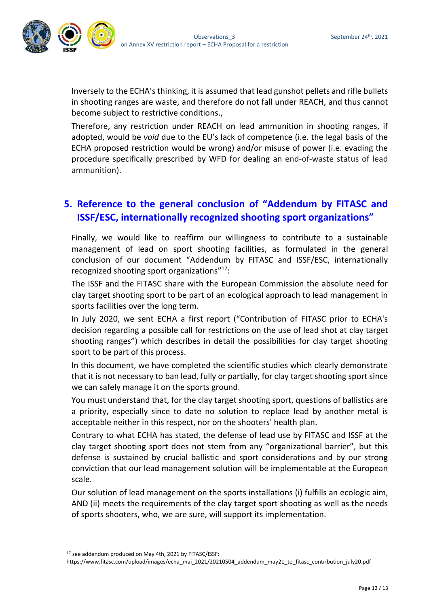

Inversely to the ECHA's thinking, it is assumed that lead gunshot pellets and rifle bullets in shooting ranges are waste, and therefore do not fall under REACH, and thus cannot become subject to restrictive conditions.,

Therefore, any restriction under REACH on lead ammunition in shooting ranges, if adopted, would be *void* due to the EU's lack of competence (i.e. the legal basis of the ECHA proposed restriction would be wrong) and/or misuse of power (i.e. evading the procedure specifically prescribed by WFD for dealing an end-of-waste status of lead ammunition).

#### <span id="page-11-0"></span>**5. Reference to the general conclusion of "Addendum by FITASC and ISSF/ESC, internationally recognized shooting sport organizations"**

Finally, we would like to reaffirm our willingness to contribute to a sustainable management of lead on sport shooting facilities, as formulated in the general conclusion of our document "Addendum by FITASC and ISSF/ESC, internationally recognized shooting sport organizations"<sup>17</sup>:

The ISSF and the FITASC share with the European Commission the absolute need for clay target shooting sport to be part of an ecological approach to lead management in sports facilities over the long term.

In July 2020, we sent ECHA a first report ("Contribution of FITASC prior to ECHA's decision regarding a possible call for restrictions on the use of lead shot at clay target shooting ranges") which describes in detail the possibilities for clay target shooting sport to be part of this process.

In this document, we have completed the scientific studies which clearly demonstrate that it is not necessary to ban lead, fully or partially, for clay target shooting sport since we can safely manage it on the sports ground.

You must understand that, for the clay target shooting sport, questions of ballistics are a priority, especially since to date no solution to replace lead by another metal is acceptable neither in this respect, nor on the shooters' health plan.

Contrary to what ECHA has stated, the defense of lead use by FITASC and ISSF at the clay target shooting sport does not stem from any "organizational barrier", but this defense is sustained by crucial ballistic and sport considerations and by our strong conviction that our lead management solution will be implementable at the European scale.

Our solution of lead management on the sports installations (i) fulfills an ecologic aim, AND (ii) meets the requirements of the clay target sport shooting as well as the needs of sports shooters, who, we are sure, will support its implementation.

<sup>17</sup> see addendum produced on May 4th, 2021 by FITASC/ISSF:

https://www.fitasc.com/upload/images/echa\_mai\_2021/20210504\_addendum\_may21\_to\_fitasc\_contribution\_july20.pdf